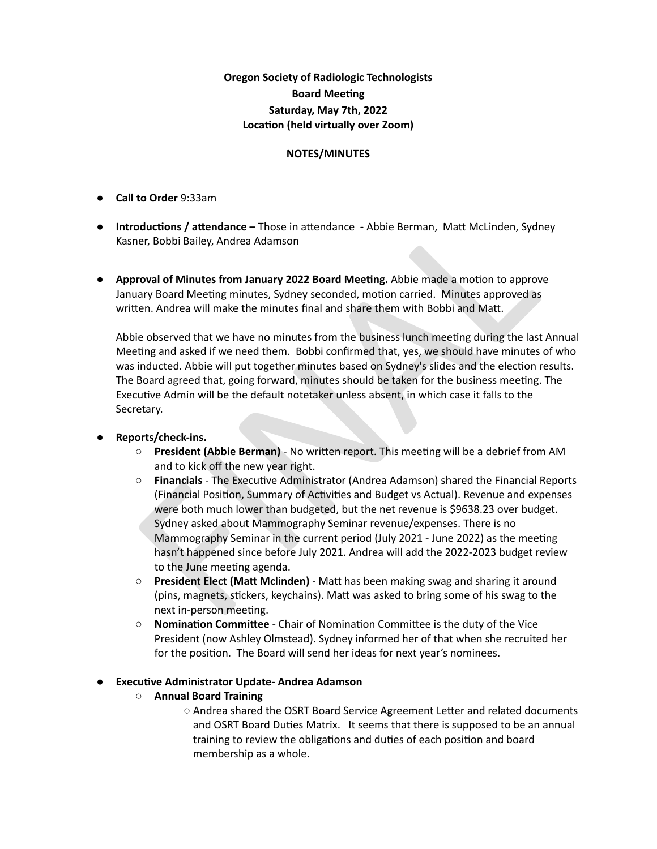**Oregon Society of Radiologic Technologists Board Meeting Saturday, May 7th, 2022 Location (held virtually over Zoom)** 

#### **NOTES/MINUTES**

- **● Call to Order** 9:33am
- **•** Introductions / attendance Those in attendance Abbie Berman, Matt McLinden, Sydney Kasner, Bobbi Bailey, Andrea Adamson
- **• Approval of Minutes from January 2022 Board Meeting. Abbie made a motion to approve** January Board Meeting minutes, Sydney seconded, motion carried. Minutes approved as written. Andrea will make the minutes final and share them with Bobbi and Matt.

Abbie observed that we have no minutes from the business lunch meeting during the last Annual Meeting and asked if we need them. Bobbi confirmed that, yes, we should have minutes of who was inducted. Abbie will put together minutes based on Sydney's slides and the election results. The Board agreed that, going forward, minutes should be taken for the business meeting. The Executive Admin will be the default notetaker unless absent, in which case it falls to the Secretary.

### **● Reports/check-ins.**

- **<b>• President (Abbie Berman)** No written report. This meeting will be a debrief from AM and to kick off the new year right.
- **oductions / attendance Those in attendance Abbie Berman, Matt McLinden, Sydney<br>
ere, Bobbi Bailey, Andrea Adamson<br>
<b>roval of Minutes from January 2022 Board Meeting**. Abbie made a motion to approve<br>
trary Board Meetin **O Financials** - The Executive Administrator (Andrea Adamson) shared the Financial Reports (Financial Position, Summary of Activities and Budget vs Actual). Revenue and expenses were both much lower than budgeted, but the net revenue is \$9638.23 over budget. Sydney asked about Mammography Seminar revenue/expenses. There is no Mammography Seminar in the current period (July 2021 - June 2022) as the meeting hasn't happened since before July 2021. Andrea will add the 2022-2023 budget review to the June meeting agenda.
- **O President Elect (Matt Mclinden)** Matt has been making swag and sharing it around (pins, magnets, stickers, keychains). Matt was asked to bring some of his swag to the next in-person meeting.
- **O Nomination Committee** Chair of Nomination Committee is the duty of the Vice President (now Ashley Olmstead). Sydney informed her of that when she recruited her for the position. The Board will send her ideas for next year's nominees.

### ● **Execuve Administrator Update- Andrea Adamson**

- **○ Annual Board Training**
	- Andrea shared the OSRT Board Service Agreement Letter and related documents and OSRT Board Duties Matrix. It seems that there is supposed to be an annual training to review the obligations and duties of each position and board membership as a whole.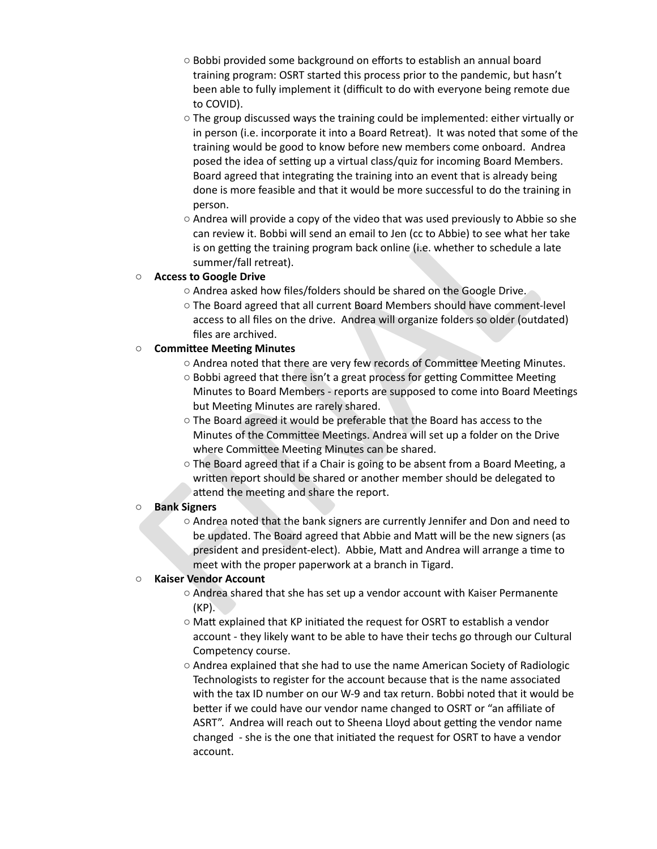- **○** Bobbi provided some background on efforts to establish an annual board training program: OSRT started this process prior to the pandemic, but hasn't been able to fully implement it (difficult to do with everyone being remote due to COVID).
- **○** The group discussed ways the training could be implemented: either virtually or in person (i.e. incorporate it into a Board Retreat). It was noted that some of the training would be good to know before new members come onboard. Andrea posed the idea of setting up a virtual class/quiz for incoming Board Members. Board agreed that integrating the training into an event that is already being done is more feasible and that it would be more successful to do the training in person.
- o Andrea will provide a copy of the video that was used previously to Abbie so she<br>can review th: 80bbi will send an email to Jen (c to Abbie) to see what her take<br>is on getting the training program back online (i.e. whe **○** Andrea will provide a copy of the video that was used previously to Abbie so she can review it. Bobbi will send an email to Jen (cc to Abbie) to see what her take is on getting the training program back online (i.e. whether to schedule a late summer/fall retreat).

### **○ Access to Google Drive**

- Andrea asked how files/folders should be shared on the Google Drive.
- The Board agreed that all current Board Members should have comment-level access to all files on the drive. Andrea will organize folders so older (outdated) files are archived.

# **○ Commiee Meeng Minutes**

- $\circ$  Andrea noted that there are very few records of Committee Meeting Minutes.
- $\circ$  Bobbi agreed that there isn't a great process for getting Committee Meeting Minutes to Board Members - reports are supposed to come into Board Meetings but Meeting Minutes are rarely shared.
- **○** The Board agreed it would be preferable that the Board has access to the Minutes of the Committee Meetings. Andrea will set up a folder on the Drive where Committee Meeting Minutes can be shared.
- The Board agreed that if a Chair is going to be absent from a Board Meeting, a written report should be shared or another member should be delegated to attend the meeting and share the report.

### **○ Bank Signers**

**○** Andrea noted that the bank signers are currently Jennifer and Don and need to be updated. The Board agreed that Abbie and Matt will be the new signers (as president and president-elect). Abbie, Matt and Andrea will arrange a time to meet with the proper paperwork at a branch in Tigard.

### **○ Kaiser Vendor Account**

- **○** Andrea shared that she has set up a vendor account with Kaiser Permanente (KP).
- Matt explained that KP initiated the request for OSRT to establish a vendor account - they likely want to be able to have their techs go through our Cultural Competency course.
- **○** Andrea explained that she had to use the name American Society of Radiologic Technologists to register for the account because that is the name associated with the tax ID number on our W-9 and tax return. Bobbi noted that it would be better if we could have our vendor name changed to OSRT or "an affiliate of ASRT". Andrea will reach out to Sheena Lloyd about getting the vendor name changed - she is the one that initiated the request for OSRT to have a vendor account.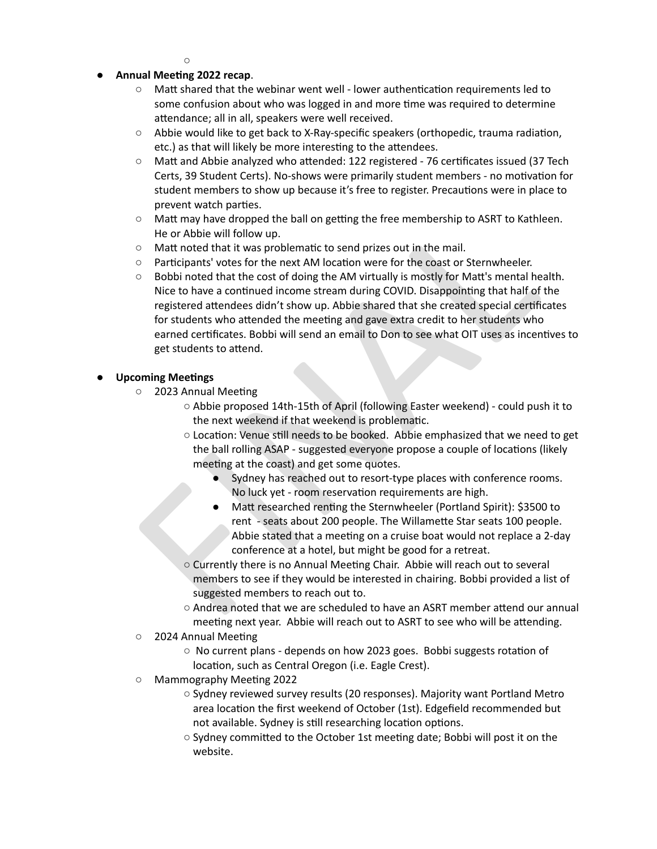$\Omega$ 

# **● Annual Meeng 2022 recap**.

- $\circ$  Matt shared that the webinar went well lower authentication requirements led to some confusion about who was logged in and more time was required to determine attendance; all in all, speakers were well received.
- $\circ$  Abbie would like to get back to X-Ray-specific speakers (orthopedic, trauma radiation, etc.) as that will likely be more interesting to the attendees.
- $\circ$  Matt and Abbie analyzed who attended: 122 registered 76 certificates issued (37 Tech Certs, 39 Student Certs). No-shows were primarily student members - no motivation for student members to show up because it's free to register. Precautions were in place to prevent watch parties.
- $\circ$  Matt may have dropped the ball on getting the free membership to ASRT to Kathleen. He or Abbie will follow up.
- Matt noted that it was problematic to send prizes out in the mail.
- $\circ$  Participants' votes for the next AM location were for the coast or Sternwheeler.
- Matt may have dropped the ball on getting the free membership to ASRT to Kathleen.<br>
He or Abbie will follow up.<br>
To Matt noted that it was problematic to send prizes out in the mail.<br>
Carolich will follow up.<br>
Note to that  $\circ$  Bobbi noted that the cost of doing the AM virtually is mostly for Matt's mental health. Nice to have a continued income stream during COVID. Disappointing that half of the registered attendees didn't show up. Abbie shared that she created special certificates for students who attended the meeting and gave extra credit to her students who earned certificates. Bobbi will send an email to Don to see what OIT uses as incentives to get students to attend.

### **Upcoming Meetings**

- 2023 Annual Meeting
	- Abbie proposed 14th-15th of April (following Easter weekend) could push it to the next weekend if that weekend is problematic.
	- $\circ$  Location: Venue still needs to be booked. Abbie emphasized that we need to get the ball rolling ASAP - suggested everyone propose a couple of locations (likely meeting at the coast) and get some quotes.
		- Sydney has reached out to resort-type places with conference rooms. No luck yet - room reservation requirements are high.
		- Matt researched renting the Sternwheeler (Portland Spirit): \$3500 to rent - seats about 200 people. The Willamette Star seats 100 people. Abbie stated that a meeting on a cruise boat would not replace a 2-day conference at a hotel, but might be good for a retreat.
	- Currently there is no Annual Meeting Chair. Abbie will reach out to several members to see if they would be interested in chairing. Bobbi provided a list of suggested members to reach out to.
	- $\circ$  Andrea noted that we are scheduled to have an ASRT member attend our annual meeting next year. Abbie will reach out to ASRT to see who will be attending.
- 2024 Annual Meeting
	- $\circ$  No current plans depends on how 2023 goes. Bobbi suggests rotation of location, such as Central Oregon (i.e. Eagle Crest).
- Mammography Meeting 2022
	- **○** Sydney reviewed survey results (20 responses). Majority want Portland Metro area location the first weekend of October (1st). Edgefield recommended but not available. Sydney is still researching location options.
	- Sydney committed to the October 1st meeting date; Bobbi will post it on the website.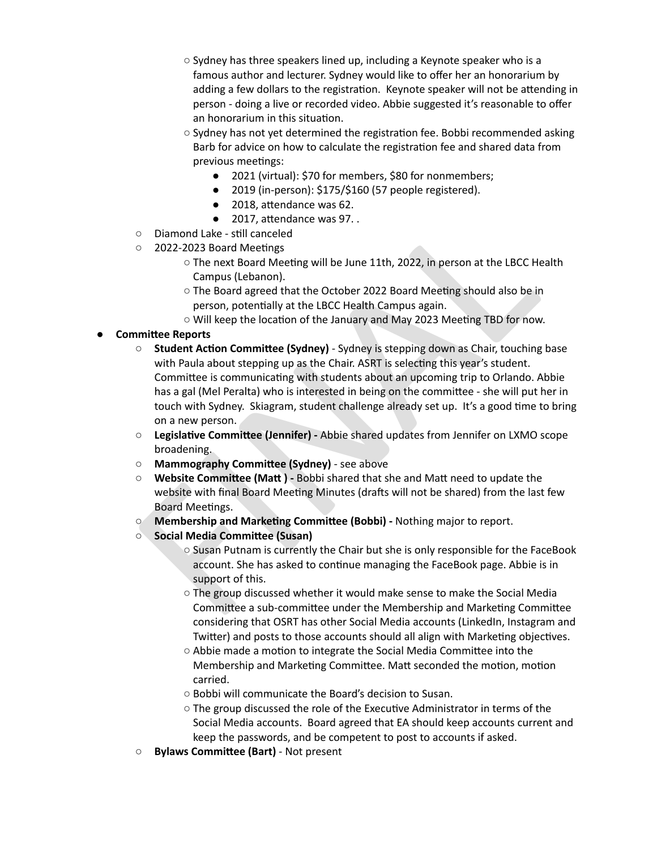- **○** Sydney has three speakers lined up, including a Keynote speaker who is a famous author and lecturer. Sydney would like to offer her an honorarium by adding a few dollars to the registration. Keynote speaker will not be attending in person - doing a live or recorded video. Abbie suggested it's reasonable to offer an honorarium in this situation.
- **O** Sydney has not yet determined the registration fee. Bobbi recommended asking Barb for advice on how to calculate the registration fee and shared data from previous meetings:
	- **●** 2021 (virtual): \$70 for members, \$80 for nonmembers;
	- **●** 2019 (in-person): \$175/\$160 (57 people registered).
	- 2018, attendance was 62.
	- **•** 2017, attendance was 97. .
- Diamond Lake still canceled
- 2022-2023 Board Meetings
	- The next Board Meeting will be June 11th, 2022, in person at the LBCC Health Campus (Lebanon).
	- The Board agreed that the October 2022 Board Meeting should also be in person, potentially at the LBCC Health Campus again.
	- $\circ$  Will keep the location of the January and May 2023 Meeting TBD for now.
- **Committee Reports**
- **e** 2017, attendance was 97. .<br> **c** Diamond lake-still canceled the chind can be a 2022-2023 Board Meeting<br>  $\sim$  2022-2023 Board Meetings<br>  $\sim$  The next Board Meeting will be June 11th, 2022, in person at the LBCC Health **<b>• Student Action Committee (Sydney)** - Sydney is stepping down as Chair, touching base with Paula about stepping up as the Chair. ASRT is selecting this year's student. Committee is communicating with students about an upcoming trip to Orlando. Abbie has a gal (Mel Peralta) who is interested in being on the committee - she will put her in touch with Sydney. Skiagram, student challenge already set up. It's a good time to bring on a new person.
	- **<b>•** Legislative Committee (Jennifer) Abbie shared updates from Jennifer on LXMO scope broadening.
	- **O Mammography Committee (Sydney)** see above
	- **O Website Committee (Matt)** Bobbi shared that she and Matt need to update the website with final Board Meeting Minutes (drafts will not be shared) from the last few Board Meetings.
	- *O* **Membership and Marketing Committee (Bobbi)** Nothing major to report.
	- **○ Social Media Commiee (Susan)**
		- Susan Putnam is currently the Chair but she is only responsible for the FaceBook account. She has asked to continue managing the FaceBook page. Abbie is in support of this.
		- $\circ$  The group discussed whether it would make sense to make the Social Media Committee a sub-committee under the Membership and Marketing Committee considering that OSRT has other Social Media accounts (LinkedIn, Instagram and Twitter) and posts to those accounts should all align with Marketing objectives.
		- $\circ$  Abbie made a motion to integrate the Social Media Committee into the Membership and Marketing Committee. Matt seconded the motion, motion carried.
		- Bobbi will communicate the Board's decision to Susan.
		- The group discussed the role of the Executive Administrator in terms of the Social Media accounts. Board agreed that EA should keep accounts current and keep the passwords, and be competent to post to accounts if asked.
	- **Bylaws Committee (Bart)** Not present